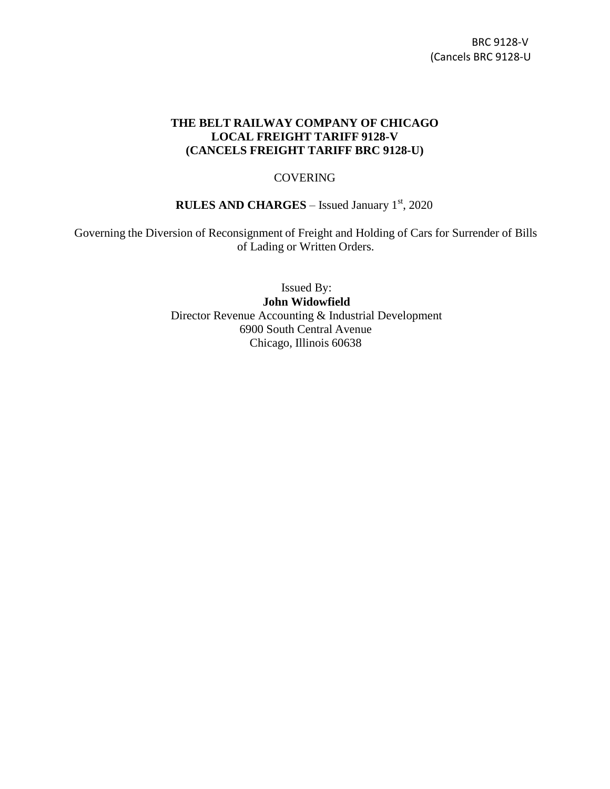## **THE BELT RAILWAY COMPANY OF CHICAGO LOCAL FREIGHT TARIFF 9128-V (CANCELS FREIGHT TARIFF BRC 9128-U)**

## **COVERING**

## **RULES AND CHARGES** – Issued January 1st, 2020

Governing the Diversion of Reconsignment of Freight and Holding of Cars for Surrender of Bills of Lading or Written Orders.

> Issued By: **John Widowfield** Director Revenue Accounting & Industrial Development 6900 South Central Avenue Chicago, Illinois 60638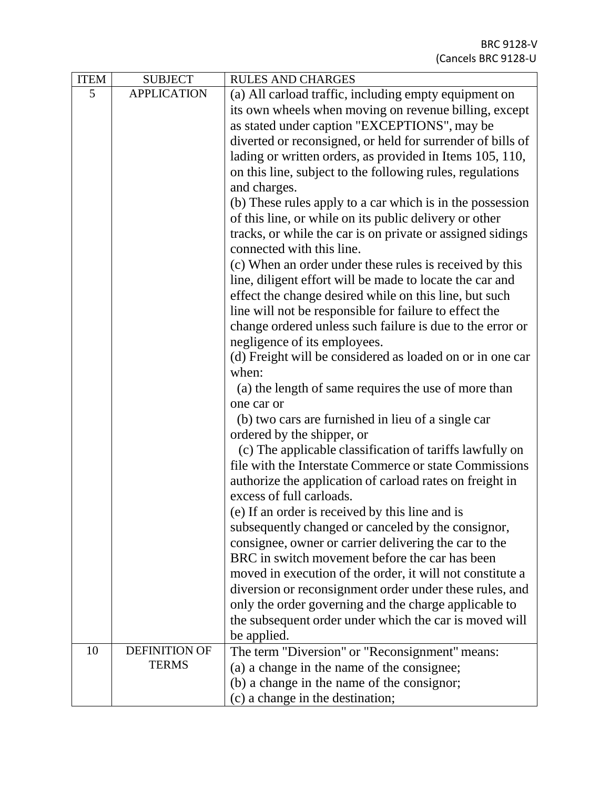| <b>ITEM</b> | <b>SUBJECT</b>       | <b>RULES AND CHARGES</b>                                           |
|-------------|----------------------|--------------------------------------------------------------------|
| 5           | <b>APPLICATION</b>   | (a) All carload traffic, including empty equipment on              |
|             |                      | its own wheels when moving on revenue billing, except              |
|             |                      | as stated under caption "EXCEPTIONS", may be                       |
|             |                      | diverted or reconsigned, or held for surrender of bills of         |
|             |                      | lading or written orders, as provided in Items 105, 110,           |
|             |                      | on this line, subject to the following rules, regulations          |
|             |                      | and charges.                                                       |
|             |                      | (b) These rules apply to a car which is in the possession          |
|             |                      | of this line, or while on its public delivery or other             |
|             |                      | tracks, or while the car is on private or assigned sidings         |
|             |                      | connected with this line.                                          |
|             |                      | (c) When an order under these rules is received by this            |
|             |                      | line, diligent effort will be made to locate the car and           |
|             |                      | effect the change desired while on this line, but such             |
|             |                      | line will not be responsible for failure to effect the             |
|             |                      | change ordered unless such failure is due to the error or          |
|             |                      | negligence of its employees.                                       |
|             |                      | (d) Freight will be considered as loaded on or in one car<br>when: |
|             |                      | (a) the length of same requires the use of more than               |
|             |                      | one car or                                                         |
|             |                      | (b) two cars are furnished in lieu of a single car                 |
|             |                      | ordered by the shipper, or                                         |
|             |                      | (c) The applicable classification of tariffs lawfully on           |
|             |                      | file with the Interstate Commerce or state Commissions             |
|             |                      | authorize the application of carload rates on freight in           |
|             |                      | excess of full carloads.                                           |
|             |                      | (e) If an order is received by this line and is                    |
|             |                      | subsequently changed or canceled by the consignor,                 |
|             |                      | consignee, owner or carrier delivering the car to the              |
|             |                      | BRC in switch movement before the car has been                     |
|             |                      | moved in execution of the order, it will not constitute a          |
|             |                      | diversion or reconsignment order under these rules, and            |
|             |                      | only the order governing and the charge applicable to              |
|             |                      | the subsequent order under which the car is moved will             |
|             |                      | be applied.                                                        |
| 10          | <b>DEFINITION OF</b> | The term "Diversion" or "Reconsignment" means:                     |
|             | <b>TERMS</b>         | (a) a change in the name of the consignee;                         |
|             |                      | (b) a change in the name of the consignor;                         |
|             |                      | (c) a change in the destination;                                   |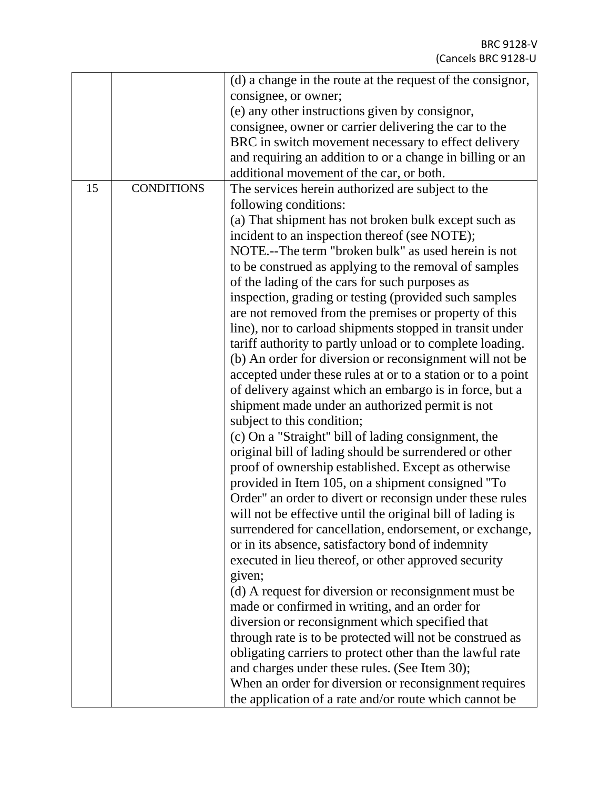|    |                   | (d) a change in the route at the request of the consignor,  |
|----|-------------------|-------------------------------------------------------------|
|    |                   | consignee, or owner;                                        |
|    |                   | (e) any other instructions given by consignor,              |
|    |                   | consignee, owner or carrier delivering the car to the       |
|    |                   | BRC in switch movement necessary to effect delivery         |
|    |                   | and requiring an addition to or a change in billing or an   |
|    |                   | additional movement of the car, or both.                    |
| 15 | <b>CONDITIONS</b> | The services herein authorized are subject to the           |
|    |                   |                                                             |
|    |                   | following conditions:                                       |
|    |                   | (a) That shipment has not broken bulk except such as        |
|    |                   | incident to an inspection thereof (see NOTE);               |
|    |                   | NOTE.--The term "broken bulk" as used herein is not         |
|    |                   | to be construed as applying to the removal of samples       |
|    |                   | of the lading of the cars for such purposes as              |
|    |                   | inspection, grading or testing (provided such samples       |
|    |                   | are not removed from the premises or property of this       |
|    |                   | line), nor to carload shipments stopped in transit under    |
|    |                   | tariff authority to partly unload or to complete loading.   |
|    |                   | (b) An order for diversion or reconsignment will not be     |
|    |                   | accepted under these rules at or to a station or to a point |
|    |                   | of delivery against which an embargo is in force, but a     |
|    |                   | shipment made under an authorized permit is not             |
|    |                   | subject to this condition;                                  |
|    |                   | (c) On a "Straight" bill of lading consignment, the         |
|    |                   | original bill of lading should be surrendered or other      |
|    |                   | proof of ownership established. Except as otherwise         |
|    |                   | provided in Item 105, on a shipment consigned "To           |
|    |                   | Order" an order to divert or reconsign under these rules    |
|    |                   | will not be effective until the original bill of lading is  |
|    |                   | surrendered for cancellation, endorsement, or exchange,     |
|    |                   | or in its absence, satisfactory bond of indemnity           |
|    |                   | executed in lieu thereof, or other approved security        |
|    |                   | given;                                                      |
|    |                   | (d) A request for diversion or reconsignment must be        |
|    |                   |                                                             |
|    |                   | made or confirmed in writing, and an order for              |
|    |                   | diversion or reconsignment which specified that             |
|    |                   | through rate is to be protected will not be construed as    |
|    |                   | obligating carriers to protect other than the lawful rate   |
|    |                   | and charges under these rules. (See Item 30);               |
|    |                   | When an order for diversion or reconsignment requires       |
|    |                   | the application of a rate and/or route which cannot be      |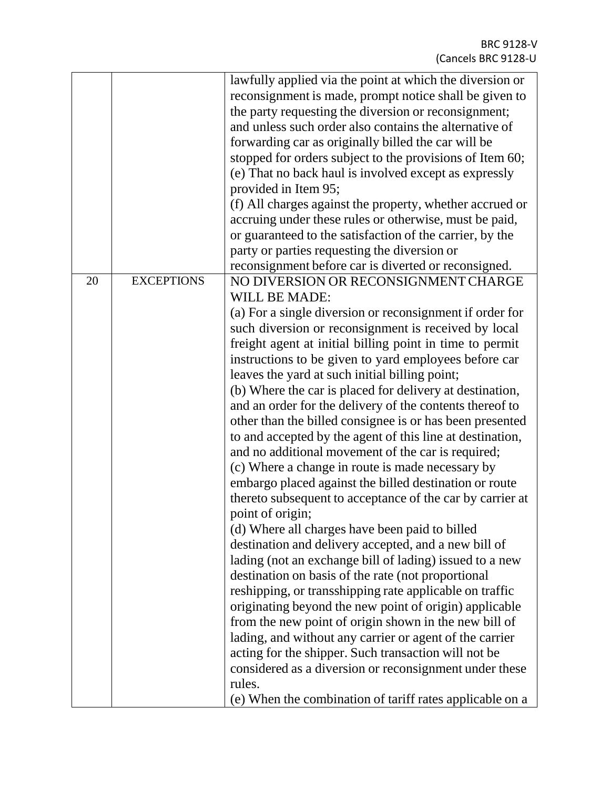|    |                   | lawfully applied via the point at which the diversion or  |
|----|-------------------|-----------------------------------------------------------|
|    |                   | reconsignment is made, prompt notice shall be given to    |
|    |                   | the party requesting the diversion or reconsignment;      |
|    |                   | and unless such order also contains the alternative of    |
|    |                   | forwarding car as originally billed the car will be       |
|    |                   | stopped for orders subject to the provisions of Item 60;  |
|    |                   | (e) That no back haul is involved except as expressly     |
|    |                   | provided in Item 95;                                      |
|    |                   | (f) All charges against the property, whether accrued or  |
|    |                   | accruing under these rules or otherwise, must be paid,    |
|    |                   | or guaranteed to the satisfaction of the carrier, by the  |
|    |                   | party or parties requesting the diversion or              |
|    |                   | reconsignment before car is diverted or reconsigned.      |
| 20 | <b>EXCEPTIONS</b> | NO DIVERSION OR RECONSIGNMENT CHARGE                      |
|    |                   | <b>WILL BE MADE:</b>                                      |
|    |                   | (a) For a single diversion or reconsignment if order for  |
|    |                   | such diversion or reconsignment is received by local      |
|    |                   | freight agent at initial billing point in time to permit  |
|    |                   | instructions to be given to yard employees before car     |
|    |                   | leaves the yard at such initial billing point;            |
|    |                   | (b) Where the car is placed for delivery at destination,  |
|    |                   | and an order for the delivery of the contents thereof to  |
|    |                   | other than the billed consignee is or has been presented  |
|    |                   | to and accepted by the agent of this line at destination, |
|    |                   | and no additional movement of the car is required;        |
|    |                   | (c) Where a change in route is made necessary by          |
|    |                   | embargo placed against the billed destination or route    |
|    |                   | thereto subsequent to acceptance of the car by carrier at |
|    |                   | point of origin;                                          |
|    |                   | (d) Where all charges have been paid to billed            |
|    |                   | destination and delivery accepted, and a new bill of      |
|    |                   | lading (not an exchange bill of lading) issued to a new   |
|    |                   | destination on basis of the rate (not proportional        |
|    |                   | reshipping, or transshipping rate applicable on traffic   |
|    |                   | originating beyond the new point of origin) applicable    |
|    |                   | from the new point of origin shown in the new bill of     |
|    |                   | lading, and without any carrier or agent of the carrier   |
|    |                   | acting for the shipper. Such transaction will not be      |
|    |                   | considered as a diversion or reconsignment under these    |
|    |                   | rules.                                                    |
|    |                   | (e) When the combination of tariff rates applicable on a  |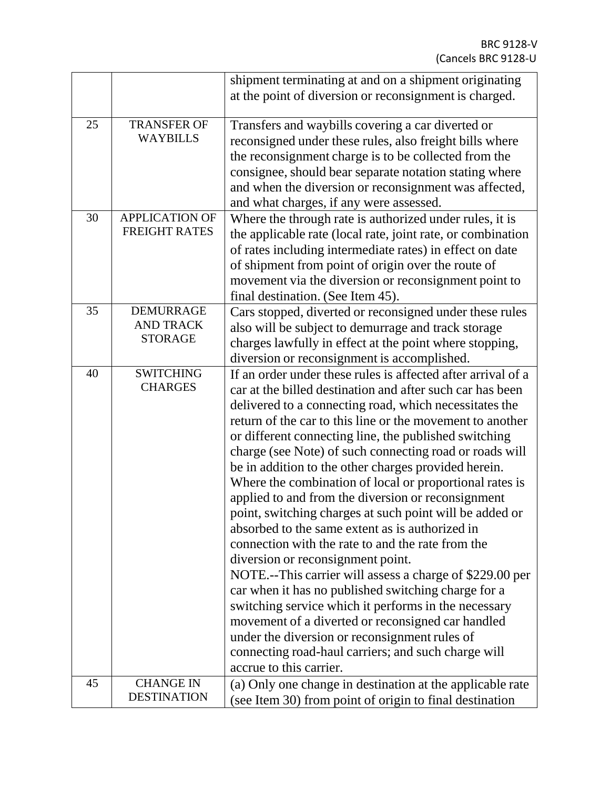|    |                       | shipment terminating at and on a shipment originating        |
|----|-----------------------|--------------------------------------------------------------|
|    |                       | at the point of diversion or reconsignment is charged.       |
|    |                       |                                                              |
| 25 | <b>TRANSFER OF</b>    | Transfers and waybills covering a car diverted or            |
|    | <b>WAYBILLS</b>       | reconsigned under these rules, also freight bills where      |
|    |                       | the reconsignment charge is to be collected from the         |
|    |                       | consignee, should bear separate notation stating where       |
|    |                       | and when the diversion or reconsignment was affected,        |
|    |                       | and what charges, if any were assessed.                      |
| 30 | <b>APPLICATION OF</b> | Where the through rate is authorized under rules, it is      |
|    | <b>FREIGHT RATES</b>  | the applicable rate (local rate, joint rate, or combination  |
|    |                       | of rates including intermediate rates) in effect on date     |
|    |                       | of shipment from point of origin over the route of           |
|    |                       | movement via the diversion or reconsignment point to         |
|    |                       | final destination. (See Item 45).                            |
| 35 | <b>DEMURRAGE</b>      | Cars stopped, diverted or reconsigned under these rules      |
|    | <b>AND TRACK</b>      | also will be subject to demurrage and track storage          |
|    | <b>STORAGE</b>        | charges lawfully in effect at the point where stopping,      |
|    |                       | diversion or reconsignment is accomplished.                  |
| 40 | <b>SWITCHING</b>      | If an order under these rules is affected after arrival of a |
|    | <b>CHARGES</b>        | car at the billed destination and after such car has been    |
|    |                       | delivered to a connecting road, which necessitates the       |
|    |                       | return of the car to this line or the movement to another    |
|    |                       | or different connecting line, the published switching        |
|    |                       | charge (see Note) of such connecting road or roads will      |
|    |                       | be in addition to the other charges provided herein.         |
|    |                       | Where the combination of local or proportional rates is      |
|    |                       | applied to and from the diversion or reconsignment           |
|    |                       | point, switching charges at such point will be added or      |
|    |                       | absorbed to the same extent as is authorized in              |
|    |                       | connection with the rate to and the rate from the            |
|    |                       | diversion or reconsignment point.                            |
|    |                       | NOTE .-- This carrier will assess a charge of \$229.00 per   |
|    |                       | car when it has no published switching charge for a          |
|    |                       | switching service which it performs in the necessary         |
|    |                       | movement of a diverted or reconsigned car handled            |
|    |                       | under the diversion or reconsignment rules of                |
|    |                       | connecting road-haul carriers; and such charge will          |
|    |                       | accrue to this carrier.                                      |
| 45 | <b>CHANGE IN</b>      | (a) Only one change in destination at the applicable rate    |
|    | <b>DESTINATION</b>    | (see Item 30) from point of origin to final destination      |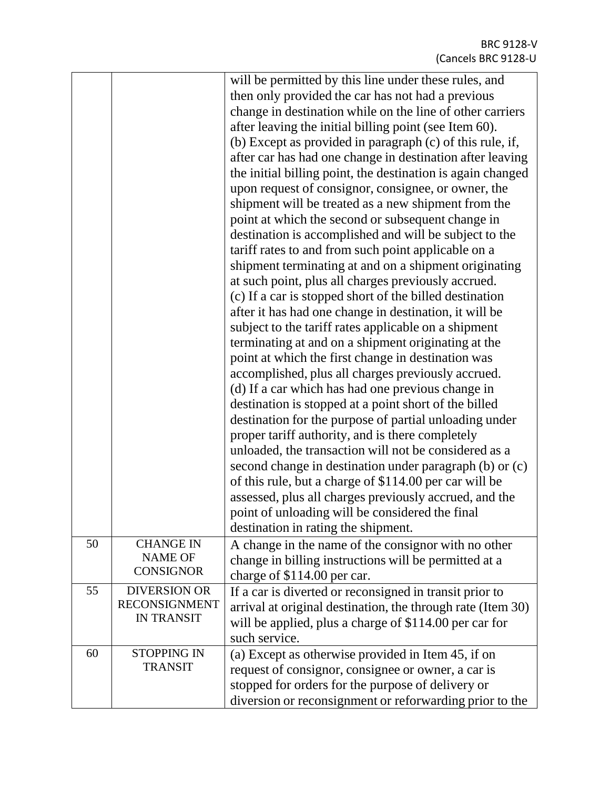|    |                      | will be permitted by this line under these rules, and       |
|----|----------------------|-------------------------------------------------------------|
|    |                      | then only provided the car has not had a previous           |
|    |                      | change in destination while on the line of other carriers   |
|    |                      | after leaving the initial billing point (see Item 60).      |
|    |                      | (b) Except as provided in paragraph (c) of this rule, if,   |
|    |                      | after car has had one change in destination after leaving   |
|    |                      | the initial billing point, the destination is again changed |
|    |                      | upon request of consignor, consignee, or owner, the         |
|    |                      | shipment will be treated as a new shipment from the         |
|    |                      | point at which the second or subsequent change in           |
|    |                      | destination is accomplished and will be subject to the      |
|    |                      | tariff rates to and from such point applicable on a         |
|    |                      | shipment terminating at and on a shipment originating       |
|    |                      | at such point, plus all charges previously accrued.         |
|    |                      | (c) If a car is stopped short of the billed destination     |
|    |                      | after it has had one change in destination, it will be      |
|    |                      | subject to the tariff rates applicable on a shipment        |
|    |                      | terminating at and on a shipment originating at the         |
|    |                      | point at which the first change in destination was          |
|    |                      |                                                             |
|    |                      | accomplished, plus all charges previously accrued.          |
|    |                      | (d) If a car which has had one previous change in           |
|    |                      | destination is stopped at a point short of the billed       |
|    |                      | destination for the purpose of partial unloading under      |
|    |                      | proper tariff authority, and is there completely            |
|    |                      | unloaded, the transaction will not be considered as a       |
|    |                      | second change in destination under paragraph (b) or (c)     |
|    |                      | of this rule, but a charge of \$114.00 per car will be      |
|    |                      | assessed, plus all charges previously accrued, and the      |
|    |                      | point of unloading will be considered the final             |
|    |                      | destination in rating the shipment.                         |
| 50 | <b>CHANGE IN</b>     | A change in the name of the consignor with no other         |
|    | <b>NAME OF</b>       | change in billing instructions will be permitted at a       |
|    | <b>CONSIGNOR</b>     | charge of \$114.00 per car.                                 |
| 55 | <b>DIVERSION OR</b>  | If a car is diverted or reconsigned in transit prior to     |
|    | <b>RECONSIGNMENT</b> | arrival at original destination, the through rate (Item 30) |
|    | <b>IN TRANSIT</b>    | will be applied, plus a charge of \$114.00 per car for      |
|    |                      | such service.                                               |
| 60 | <b>STOPPING IN</b>   | (a) Except as otherwise provided in Item 45, if on          |
|    | <b>TRANSIT</b>       | request of consignor, consignee or owner, a car is          |
|    |                      | stopped for orders for the purpose of delivery or           |
|    |                      | diversion or reconsignment or reforwarding prior to the     |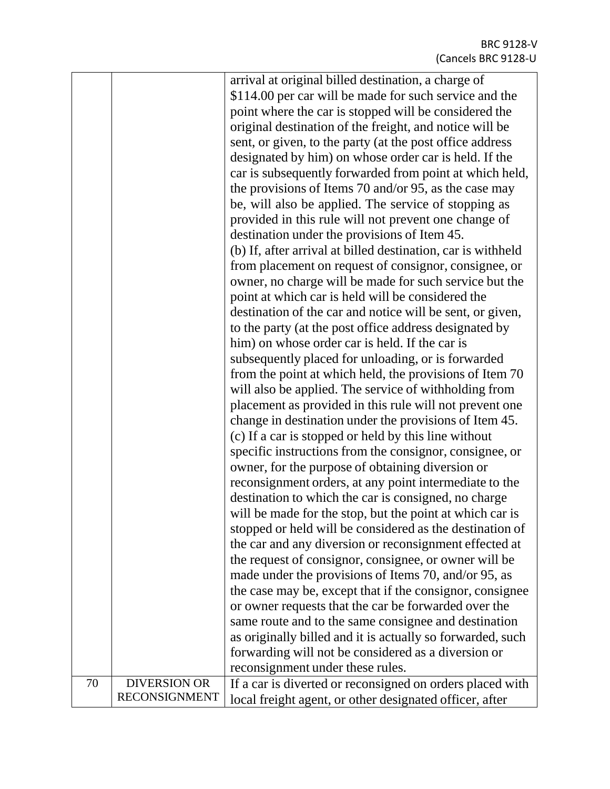|    |                      | arrival at original billed destination, a charge of          |
|----|----------------------|--------------------------------------------------------------|
|    |                      | \$114.00 per car will be made for such service and the       |
|    |                      | point where the car is stopped will be considered the        |
|    |                      | original destination of the freight, and notice will be      |
|    |                      | sent, or given, to the party (at the post office address     |
|    |                      | designated by him) on whose order car is held. If the        |
|    |                      | car is subsequently forwarded from point at which held,      |
|    |                      | the provisions of Items 70 and/or 95, as the case may        |
|    |                      | be, will also be applied. The service of stopping as         |
|    |                      | provided in this rule will not prevent one change of         |
|    |                      | destination under the provisions of Item 45.                 |
|    |                      | (b) If, after arrival at billed destination, car is withheld |
|    |                      | from placement on request of consignor, consignee, or        |
|    |                      | owner, no charge will be made for such service but the       |
|    |                      | point at which car is held will be considered the            |
|    |                      | destination of the car and notice will be sent, or given,    |
|    |                      | to the party (at the post office address designated by       |
|    |                      | him) on whose order car is held. If the car is               |
|    |                      | subsequently placed for unloading, or is forwarded           |
|    |                      | from the point at which held, the provisions of Item 70      |
|    |                      | will also be applied. The service of withholding from        |
|    |                      | placement as provided in this rule will not prevent one      |
|    |                      | change in destination under the provisions of Item 45.       |
|    |                      |                                                              |
|    |                      | (c) If a car is stopped or held by this line without         |
|    |                      | specific instructions from the consignor, consignee, or      |
|    |                      | owner, for the purpose of obtaining diversion or             |
|    |                      | reconsignment orders, at any point intermediate to the       |
|    |                      | destination to which the car is consigned, no charge         |
|    |                      | will be made for the stop, but the point at which car is     |
|    |                      | stopped or held will be considered as the destination of     |
|    |                      | the car and any diversion or reconsignment effected at       |
|    |                      | the request of consignor, consignee, or owner will be        |
|    |                      | made under the provisions of Items 70, and/or 95, as         |
|    |                      | the case may be, except that if the consignor, consignee     |
|    |                      | or owner requests that the car be forwarded over the         |
|    |                      | same route and to the same consignee and destination         |
|    |                      | as originally billed and it is actually so forwarded, such   |
|    |                      | forwarding will not be considered as a diversion or          |
|    |                      | reconsignment under these rules.                             |
| 70 | <b>DIVERSION OR</b>  | If a car is diverted or reconsigned on orders placed with    |
|    | <b>RECONSIGNMENT</b> | local freight agent, or other designated officer, after      |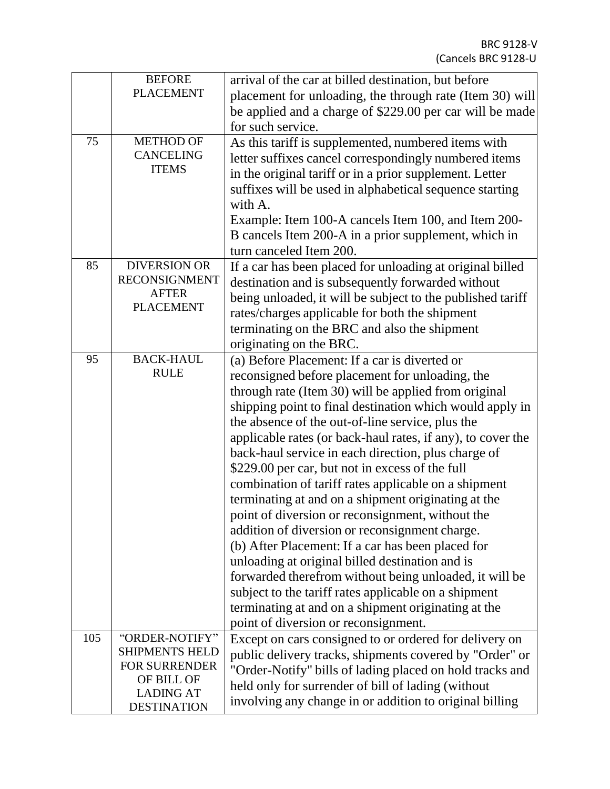|     | <b>BEFORE</b>                          | arrival of the car at billed destination, but before        |
|-----|----------------------------------------|-------------------------------------------------------------|
|     | <b>PLACEMENT</b>                       | placement for unloading, the through rate (Item 30) will    |
|     |                                        | be applied and a charge of \$229.00 per car will be made    |
|     |                                        | for such service.                                           |
| 75  | <b>METHOD OF</b>                       | As this tariff is supplemented, numbered items with         |
|     | <b>CANCELING</b>                       | letter suffixes cancel correspondingly numbered items       |
|     | <b>ITEMS</b>                           | in the original tariff or in a prior supplement. Letter     |
|     |                                        | suffixes will be used in alphabetical sequence starting     |
|     |                                        | with A.                                                     |
|     |                                        | Example: Item 100-A cancels Item 100, and Item 200-         |
|     |                                        | B cancels Item 200-A in a prior supplement, which in        |
|     |                                        | turn canceled Item 200.                                     |
| 85  | <b>DIVERSION OR</b>                    | If a car has been placed for unloading at original billed   |
|     | <b>RECONSIGNMENT</b>                   | destination and is subsequently forwarded without           |
|     | <b>AFTER</b>                           |                                                             |
|     | <b>PLACEMENT</b>                       | being unloaded, it will be subject to the published tariff  |
|     |                                        | rates/charges applicable for both the shipment              |
|     |                                        | terminating on the BRC and also the shipment                |
|     |                                        | originating on the BRC.                                     |
| 95  | <b>BACK-HAUL</b><br><b>RULE</b>        | (a) Before Placement: If a car is diverted or               |
|     |                                        | reconsigned before placement for unloading, the             |
|     |                                        | through rate (Item 30) will be applied from original        |
|     |                                        | shipping point to final destination which would apply in    |
|     |                                        | the absence of the out-of-line service, plus the            |
|     |                                        | applicable rates (or back-haul rates, if any), to cover the |
|     |                                        | back-haul service in each direction, plus charge of         |
|     |                                        | \$229.00 per car, but not in excess of the full             |
|     |                                        | combination of tariff rates applicable on a shipment        |
|     |                                        | terminating at and on a shipment originating at the         |
|     |                                        | point of diversion or reconsignment, without the            |
|     |                                        | addition of diversion or reconsignment charge.              |
|     |                                        | (b) After Placement: If a car has been placed for           |
|     |                                        | unloading at original billed destination and is             |
|     |                                        | forwarded therefrom without being unloaded, it will be      |
|     |                                        | subject to the tariff rates applicable on a shipment        |
|     |                                        | terminating at and on a shipment originating at the         |
|     |                                        | point of diversion or reconsignment.                        |
| 105 | "ORDER-NOTIFY"                         | Except on cars consigned to or ordered for delivery on      |
|     | <b>SHIPMENTS HELD</b>                  | public delivery tracks, shipments covered by "Order" or     |
|     | FOR SURRENDER                          | "Order-Notify" bills of lading placed on hold tracks and    |
|     | OF BILL OF                             | held only for surrender of bill of lading (without          |
|     | <b>LADING AT</b><br><b>DESTINATION</b> | involving any change in or addition to original billing     |
|     |                                        |                                                             |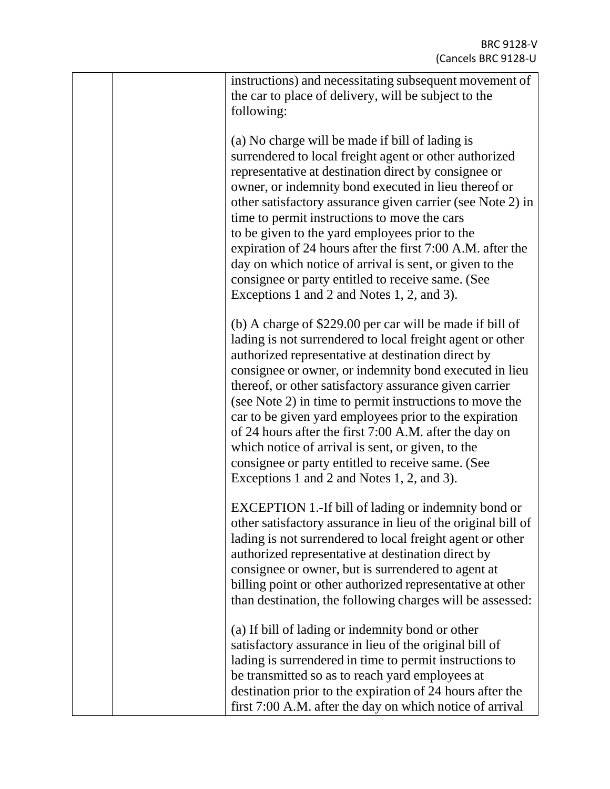|  | instructions) and necessitating subsequent movement of<br>the car to place of delivery, will be subject to the<br>following:                                                                                                                                                                                                                                                                                                                                                                                                                                                                                                           |
|--|----------------------------------------------------------------------------------------------------------------------------------------------------------------------------------------------------------------------------------------------------------------------------------------------------------------------------------------------------------------------------------------------------------------------------------------------------------------------------------------------------------------------------------------------------------------------------------------------------------------------------------------|
|  | (a) No charge will be made if bill of lading is<br>surrendered to local freight agent or other authorized<br>representative at destination direct by consignee or<br>owner, or indemnity bond executed in lieu thereof or<br>other satisfactory assurance given carrier (see Note 2) in<br>time to permit instructions to move the cars<br>to be given to the yard employees prior to the<br>expiration of 24 hours after the first 7:00 A.M. after the<br>day on which notice of arrival is sent, or given to the<br>consignee or party entitled to receive same. (See<br>Exceptions 1 and 2 and Notes 1, 2, and 3).                  |
|  | (b) A charge of \$229.00 per car will be made if bill of<br>lading is not surrendered to local freight agent or other<br>authorized representative at destination direct by<br>consignee or owner, or indemnity bond executed in lieu<br>thereof, or other satisfactory assurance given carrier<br>(see Note 2) in time to permit instructions to move the<br>car to be given yard employees prior to the expiration<br>of 24 hours after the first 7:00 A.M. after the day on<br>which notice of arrival is sent, or given, to the<br>consignee or party entitled to receive same. (See<br>Exceptions 1 and 2 and Notes 1, 2, and 3). |
|  | EXCEPTION 1.-If bill of lading or indemnity bond or<br>other satisfactory assurance in lieu of the original bill of<br>lading is not surrendered to local freight agent or other<br>authorized representative at destination direct by<br>consignee or owner, but is surrendered to agent at<br>billing point or other authorized representative at other<br>than destination, the following charges will be assessed:                                                                                                                                                                                                                 |
|  | (a) If bill of lading or indemnity bond or other<br>satisfactory assurance in lieu of the original bill of<br>lading is surrendered in time to permit instructions to<br>be transmitted so as to reach yard employees at<br>destination prior to the expiration of 24 hours after the<br>first 7:00 A.M. after the day on which notice of arrival                                                                                                                                                                                                                                                                                      |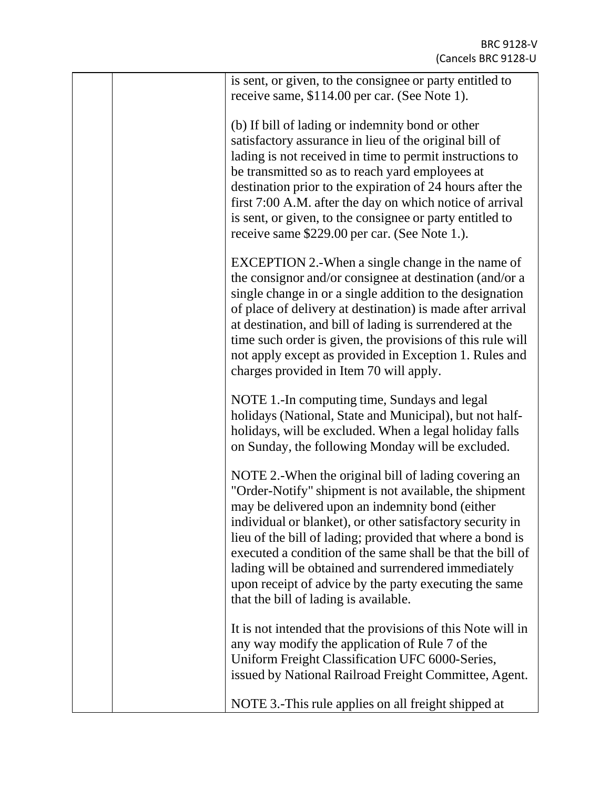|  | is sent, or given, to the consignee or party entitled to<br>receive same, \$114.00 per car. (See Note 1).                                                                                                                                                                                                                                                                                                                                                                                                           |
|--|---------------------------------------------------------------------------------------------------------------------------------------------------------------------------------------------------------------------------------------------------------------------------------------------------------------------------------------------------------------------------------------------------------------------------------------------------------------------------------------------------------------------|
|  | (b) If bill of lading or indemnity bond or other<br>satisfactory assurance in lieu of the original bill of<br>lading is not received in time to permit instructions to<br>be transmitted so as to reach yard employees at<br>destination prior to the expiration of 24 hours after the<br>first 7:00 A.M. after the day on which notice of arrival<br>is sent, or given, to the consignee or party entitled to<br>receive same \$229.00 per car. (See Note 1.).                                                     |
|  | EXCEPTION 2.-When a single change in the name of<br>the consignor and/or consignee at destination (and/or a<br>single change in or a single addition to the designation<br>of place of delivery at destination) is made after arrival<br>at destination, and bill of lading is surrendered at the<br>time such order is given, the provisions of this rule will<br>not apply except as provided in Exception 1. Rules and<br>charges provided in Item 70 will apply.                                                |
|  | NOTE 1.-In computing time, Sundays and legal<br>holidays (National, State and Municipal), but not half-<br>holidays, will be excluded. When a legal holiday falls<br>on Sunday, the following Monday will be excluded.                                                                                                                                                                                                                                                                                              |
|  | NOTE 2.-When the original bill of lading covering an<br>"Order-Notify" shipment is not available, the shipment<br>may be delivered upon an indemnity bond (either<br>individual or blanket), or other satisfactory security in<br>lieu of the bill of lading; provided that where a bond is<br>executed a condition of the same shall be that the bill of<br>lading will be obtained and surrendered immediately<br>upon receipt of advice by the party executing the same<br>that the bill of lading is available. |
|  | It is not intended that the provisions of this Note will in<br>any way modify the application of Rule 7 of the<br>Uniform Freight Classification UFC 6000-Series,<br>issued by National Railroad Freight Committee, Agent.                                                                                                                                                                                                                                                                                          |
|  | NOTE 3.-This rule applies on all freight shipped at                                                                                                                                                                                                                                                                                                                                                                                                                                                                 |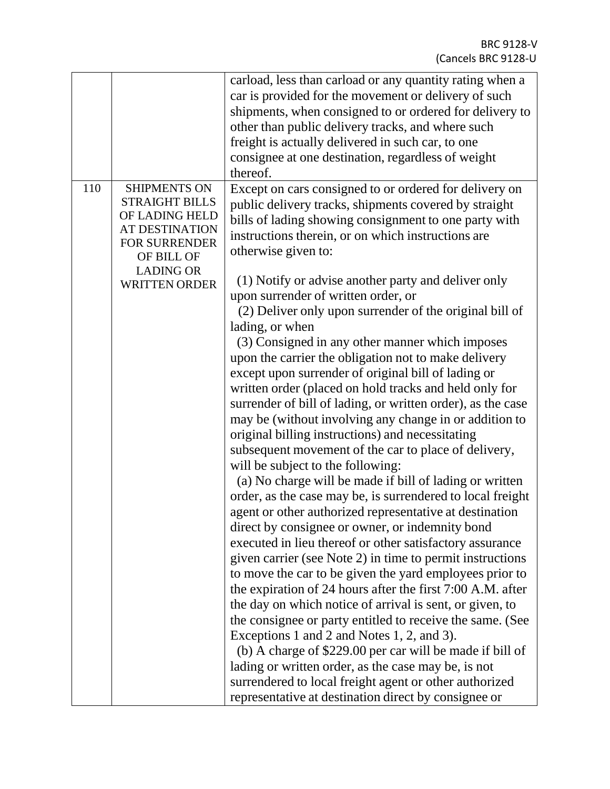|     |                       | carload, less than carload or any quantity rating when a    |
|-----|-----------------------|-------------------------------------------------------------|
|     |                       | car is provided for the movement or delivery of such        |
|     |                       | shipments, when consigned to or ordered for delivery to     |
|     |                       | other than public delivery tracks, and where such           |
|     |                       |                                                             |
|     |                       | freight is actually delivered in such car, to one           |
|     |                       | consignee at one destination, regardless of weight          |
|     |                       | thereof.                                                    |
| 110 | <b>SHIPMENTS ON</b>   | Except on cars consigned to or ordered for delivery on      |
|     | <b>STRAIGHT BILLS</b> | public delivery tracks, shipments covered by straight       |
|     | OF LADING HELD        | bills of lading showing consignment to one party with       |
|     | <b>AT DESTINATION</b> | instructions therein, or on which instructions are          |
|     | <b>FOR SURRENDER</b>  |                                                             |
|     | OF BILL OF            | otherwise given to:                                         |
|     | <b>LADING OR</b>      |                                                             |
|     | <b>WRITTEN ORDER</b>  | (1) Notify or advise another party and deliver only         |
|     |                       | upon surrender of written order, or                         |
|     |                       | (2) Deliver only upon surrender of the original bill of     |
|     |                       | lading, or when                                             |
|     |                       | (3) Consigned in any other manner which imposes             |
|     |                       | upon the carrier the obligation not to make delivery        |
|     |                       |                                                             |
|     |                       | except upon surrender of original bill of lading or         |
|     |                       | written order (placed on hold tracks and held only for      |
|     |                       | surrender of bill of lading, or written order), as the case |
|     |                       | may be (without involving any change in or addition to      |
|     |                       | original billing instructions) and necessitating            |
|     |                       | subsequent movement of the car to place of delivery,        |
|     |                       | will be subject to the following:                           |
|     |                       |                                                             |
|     |                       | (a) No charge will be made if bill of lading or written     |
|     |                       | order, as the case may be, is surrendered to local freight  |
|     |                       | agent or other authorized representative at destination     |
|     |                       | direct by consignee or owner, or indemnity bond             |
|     |                       | executed in lieu thereof or other satisfactory assurance    |
|     |                       | given carrier (see Note 2) in time to permit instructions   |
|     |                       | to move the car to be given the yard employees prior to     |
|     |                       |                                                             |
|     |                       | the expiration of 24 hours after the first 7:00 A.M. after  |
|     |                       | the day on which notice of arrival is sent, or given, to    |
|     |                       | the consignee or party entitled to receive the same. (See   |
|     |                       | Exceptions 1 and 2 and Notes 1, 2, and 3).                  |
|     |                       | (b) A charge of \$229.00 per car will be made if bill of    |
|     |                       | lading or written order, as the case may be, is not         |
|     |                       | surrendered to local freight agent or other authorized      |
|     |                       | representative at destination direct by consignee or        |
|     |                       |                                                             |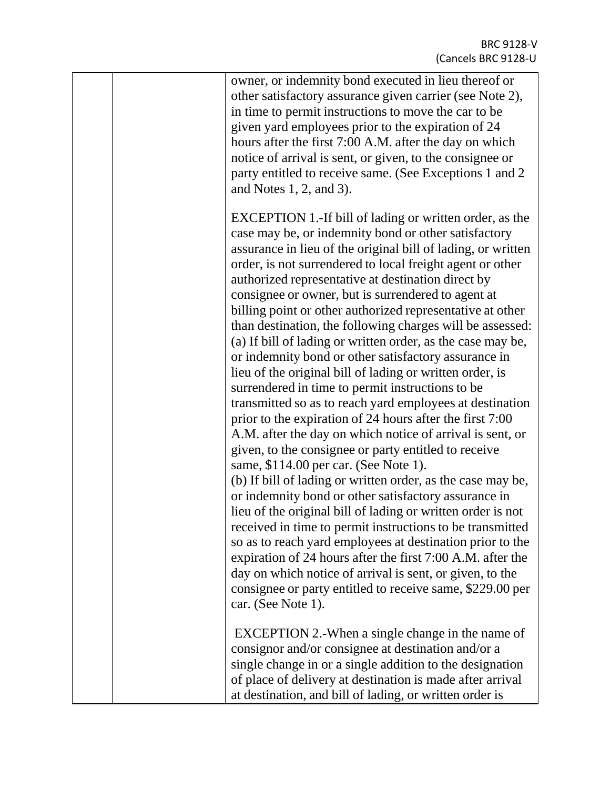|  | owner, or indemnity bond executed in lieu thereof or<br>other satisfactory assurance given carrier (see Note 2),<br>in time to permit instructions to move the car to be<br>given yard employees prior to the expiration of 24<br>hours after the first 7:00 A.M. after the day on which<br>notice of arrival is sent, or given, to the consignee or<br>party entitled to receive same. (See Exceptions 1 and 2)<br>and Notes $1, 2$ , and $3$ ).                                                                                                                                                                                                                                                                                                                                                                                                                                                                                                                                                                                                                                                                                                                                                                                                                                                                                                                                                                                                         |
|--|-----------------------------------------------------------------------------------------------------------------------------------------------------------------------------------------------------------------------------------------------------------------------------------------------------------------------------------------------------------------------------------------------------------------------------------------------------------------------------------------------------------------------------------------------------------------------------------------------------------------------------------------------------------------------------------------------------------------------------------------------------------------------------------------------------------------------------------------------------------------------------------------------------------------------------------------------------------------------------------------------------------------------------------------------------------------------------------------------------------------------------------------------------------------------------------------------------------------------------------------------------------------------------------------------------------------------------------------------------------------------------------------------------------------------------------------------------------|
|  | EXCEPTION 1.-If bill of lading or written order, as the<br>case may be, or indemnity bond or other satisfactory<br>assurance in lieu of the original bill of lading, or written<br>order, is not surrendered to local freight agent or other<br>authorized representative at destination direct by<br>consignee or owner, but is surrendered to agent at<br>billing point or other authorized representative at other<br>than destination, the following charges will be assessed:<br>(a) If bill of lading or written order, as the case may be,<br>or indemnity bond or other satisfactory assurance in<br>lieu of the original bill of lading or written order, is<br>surrendered in time to permit instructions to be<br>transmitted so as to reach yard employees at destination<br>prior to the expiration of 24 hours after the first 7:00<br>A.M. after the day on which notice of arrival is sent, or<br>given, to the consignee or party entitled to receive<br>same, \$114.00 per car. (See Note 1).<br>(b) If bill of lading or written order, as the case may be,<br>or indemnity bond or other satisfactory assurance in<br>lieu of the original bill of lading or written order is not<br>received in time to permit instructions to be transmitted<br>so as to reach yard employees at destination prior to the<br>expiration of 24 hours after the first 7:00 A.M. after the<br>day on which notice of arrival is sent, or given, to the |
|  | consignee or party entitled to receive same, \$229.00 per<br>car. (See Note 1).<br>EXCEPTION 2.-When a single change in the name of<br>consignor and/or consignee at destination and/or a<br>single change in or a single addition to the designation<br>of place of delivery at destination is made after arrival<br>at destination, and bill of lading, or written order is                                                                                                                                                                                                                                                                                                                                                                                                                                                                                                                                                                                                                                                                                                                                                                                                                                                                                                                                                                                                                                                                             |